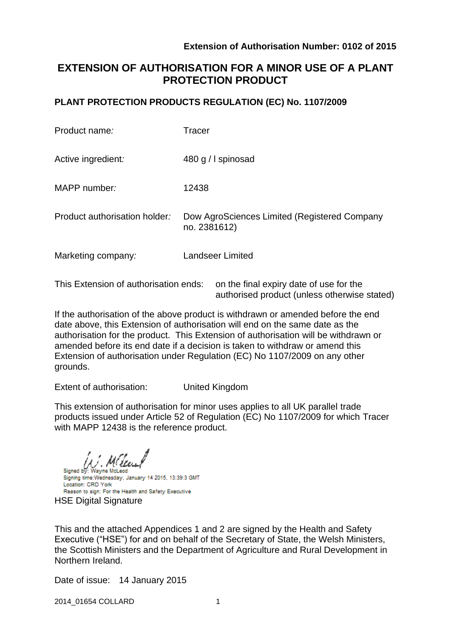# **EXTENSION OF AUTHORISATION FOR A MINOR USE OF A PLANT PROTECTION PRODUCT**

# **PLANT PROTECTION PRODUCTS REGULATION (EC) No. 1107/2009**

| Product name:                 | Tracer                                                       |
|-------------------------------|--------------------------------------------------------------|
| Active ingredient:            | 480 g / I spinosad                                           |
| MAPP number:                  | 12438                                                        |
| Product authorisation holder: | Dow AgroSciences Limited (Registered Company<br>no. 2381612) |
| Marketing company:            | <b>Landseer Limited</b>                                      |
|                               |                                                              |

This Extension of authorisation ends: on the final expiry date of use for the authorised product (unless otherwise stated)

If the authorisation of the above product is withdrawn or amended before the end date above, this Extension of authorisation will end on the same date as the authorisation for the product. This Extension of authorisation will be withdrawn or amended before its end date if a decision is taken to withdraw or amend this Extension of authorisation under Regulation (EC) No 1107/2009 on any other grounds.

Extent of authorisation: United Kingdom

This extension of authorisation for minor uses applies to all UK parallel trade products issued under Article 52 of Regulation (EC) No 1107/2009 for which Tracer with MAPP 12438 is the reference product.

Wayne McLeod

Signed by: Signing time: Wednesday, January 14 2015, 13:39:3 GMT Location: CRD York Reason to sign: For the Health and Safety Executive HSE Digital Signature

This and the attached Appendices 1 and 2 are signed by the Health and Safety Executive ("HSE") for and on behalf of the Secretary of State, the Welsh Ministers, the Scottish Ministers and the Department of Agriculture and Rural Development in Northern Ireland.

Date of issue: 14 January 2015

2014\_01654 COLLARD 1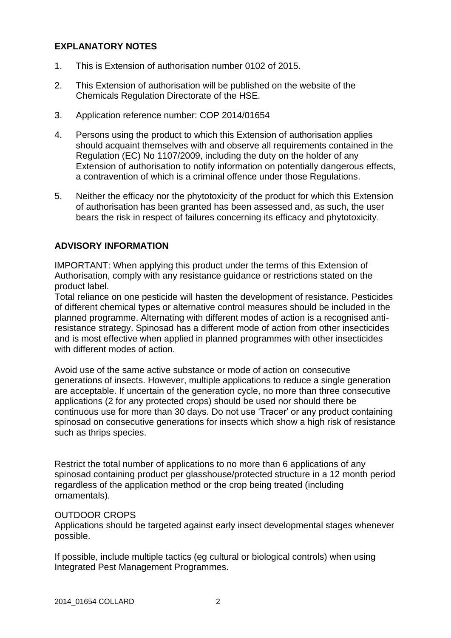# **EXPLANATORY NOTES**

- 1. This is Extension of authorisation number 0102 of 2015.
- 2. This Extension of authorisation will be published on the website of the Chemicals Regulation Directorate of the HSE.
- 3. Application reference number: COP 2014/01654
- 4. Persons using the product to which this Extension of authorisation applies should acquaint themselves with and observe all requirements contained in the Regulation (EC) No 1107/2009, including the duty on the holder of any Extension of authorisation to notify information on potentially dangerous effects, a contravention of which is a criminal offence under those Regulations.
- 5. Neither the efficacy nor the phytotoxicity of the product for which this Extension of authorisation has been granted has been assessed and, as such, the user bears the risk in respect of failures concerning its efficacy and phytotoxicity.

# **ADVISORY INFORMATION**

IMPORTANT: When applying this product under the terms of this Extension of Authorisation, comply with any resistance guidance or restrictions stated on the product label.

Total reliance on one pesticide will hasten the development of resistance. Pesticides of different chemical types or alternative control measures should be included in the planned programme. Alternating with different modes of action is a recognised antiresistance strategy. Spinosad has a different mode of action from other insecticides and is most effective when applied in planned programmes with other insecticides with different modes of action.

Avoid use of the same active substance or mode of action on consecutive generations of insects. However, multiple applications to reduce a single generation are acceptable. If uncertain of the generation cycle, no more than three consecutive applications (2 for any protected crops) should be used nor should there be continuous use for more than 30 days. Do not use 'Tracer' or any product containing spinosad on consecutive generations for insects which show a high risk of resistance such as thrips species.

Restrict the total number of applications to no more than 6 applications of any spinosad containing product per glasshouse/protected structure in a 12 month period regardless of the application method or the crop being treated (including ornamentals).

#### OUTDOOR CROPS

Applications should be targeted against early insect developmental stages whenever possible.

If possible, include multiple tactics (eg cultural or biological controls) when using Integrated Pest Management Programmes.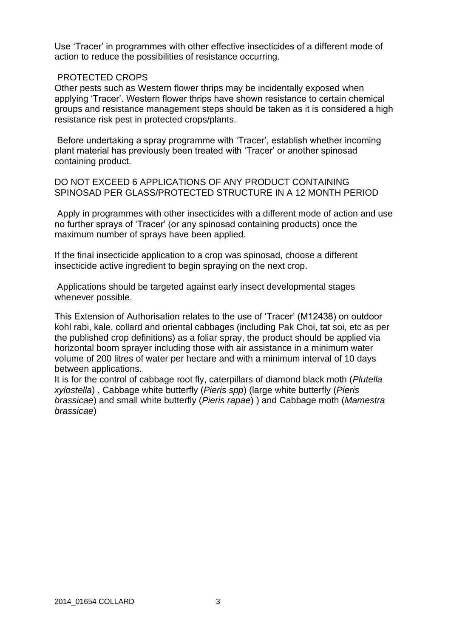Use 'Tracer' in programmes with other effective insecticides of a different mode of action to reduce the possibilities of resistance occurring.

#### PROTECTED CROPS

Other pests such as Western flower thrips may be incidentally exposed when applying 'Tracer'. Western flower thrips have shown resistance to certain chemical groups and resistance management steps should be taken as it is considered a high resistance risk pest in protected crops/plants.

Before undertaking a spray programme with 'Tracer', establish whether incoming plant material has previously been treated with 'Tracer' or another spinosad containing product.

DO NOT EXCEED 6 APPLICATIONS OF ANY PRODUCT CONTAINING SPINOSAD PER GLASS/PROTECTED STRUCTURE IN A 12 MONTH PERIOD

Apply in programmes with other insecticides with a different mode of action and use no further sprays of 'Tracer' (or any spinosad containing products) once the maximum number of sprays have been applied.

If the final insecticide application to a crop was spinosad, choose a different insecticide active ingredient to begin spraying on the next crop.

Applications should be targeted against early insect developmental stages whenever possible.

This Extension of Authorisation relates to the use of 'Tracer' (M12438) on outdoor kohl rabi, kale, collard and oriental cabbages (including Pak Choi, tat soi, etc as per the published crop definitions) as a foliar spray, the product should be applied via horizontal boom sprayer including those with air assistance in a minimum water volume of 200 litres of water per hectare and with a minimum interval of 10 days between applications.

It is for the control of cabbage root fly, caterpillars of diamond black moth (*Plutella xylostella*) , Cabbage white butterfly (*Pieris spp*) (large white butterfly (*Pieris brassicae*) and small white butterfly (*Pieris rapae*) ) and Cabbage moth (*Mamestra brassicae*)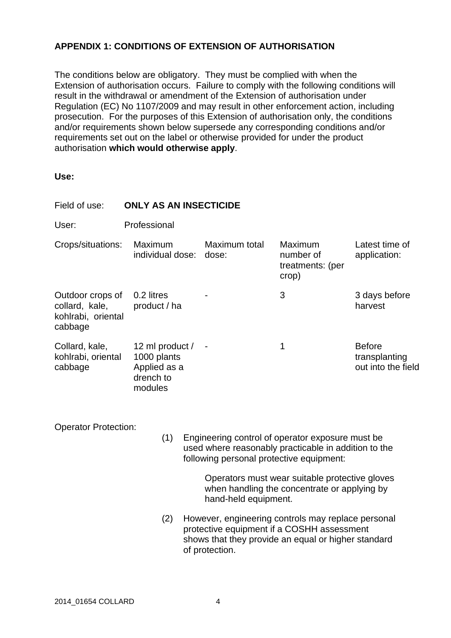# **APPENDIX 1: CONDITIONS OF EXTENSION OF AUTHORISATION**

The conditions below are obligatory. They must be complied with when the Extension of authorisation occurs. Failure to comply with the following conditions will result in the withdrawal or amendment of the Extension of authorisation under Regulation (EC) No 1107/2009 and may result in other enforcement action, including prosecution. For the purposes of this Extension of authorisation only, the conditions and/or requirements shown below supersede any corresponding conditions and/or requirements set out on the label or otherwise provided for under the product authorisation **which would otherwise apply**.

### **Use:**

| Field of use:                                                       | <b>ONLY AS AN INSECTICIDE</b><br>Professional                          |                        |                                                   |                                                      |  |
|---------------------------------------------------------------------|------------------------------------------------------------------------|------------------------|---------------------------------------------------|------------------------------------------------------|--|
| User:                                                               |                                                                        |                        |                                                   |                                                      |  |
| Crops/situations:                                                   | Maximum<br>individual dose:                                            | Maximum total<br>dose: | Maximum<br>number of<br>treatments: (per<br>crop) | Latest time of<br>application:                       |  |
| Outdoor crops of<br>collard, kale,<br>kohlrabi, oriental<br>cabbage | 0.2 litres<br>product / ha                                             |                        | 3                                                 | 3 days before<br>harvest                             |  |
| Collard, kale,<br>kohlrabi, oriental<br>cabbage                     | 12 ml product /<br>1000 plants<br>Applied as a<br>drench to<br>modules | $\sim$                 | 1                                                 | <b>Before</b><br>transplanting<br>out into the field |  |

Operator Protection:

(1) Engineering control of operator exposure must be used where reasonably practicable in addition to the following personal protective equipment:

> Operators must wear suitable protective gloves when handling the concentrate or applying by hand-held equipment.

(2) However, engineering controls may replace personal protective equipment if a COSHH assessment shows that they provide an equal or higher standard of protection.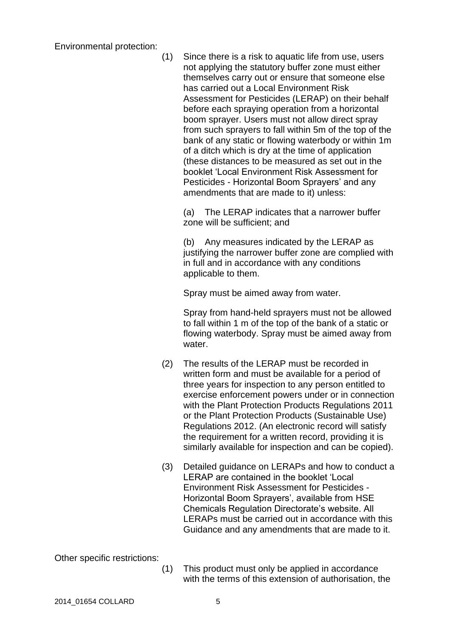Environmental protection:

(1) Since there is a risk to aquatic life from use, users not applying the statutory buffer zone must either themselves carry out or ensure that someone else has carried out a Local Environment Risk Assessment for Pesticides (LERAP) on their behalf before each spraying operation from a horizontal boom sprayer. Users must not allow direct spray from such sprayers to fall within 5m of the top of the bank of any static or flowing waterbody or within 1m of a ditch which is dry at the time of application (these distances to be measured as set out in the booklet 'Local Environment Risk Assessment for Pesticides - Horizontal Boom Sprayers' and any amendments that are made to it) unless:

(a) The LERAP indicates that a narrower buffer zone will be sufficient; and

(b) Any measures indicated by the LERAP as justifying the narrower buffer zone are complied with in full and in accordance with any conditions applicable to them.

Spray must be aimed away from water.

Spray from hand-held sprayers must not be allowed to fall within 1 m of the top of the bank of a static or flowing waterbody. Spray must be aimed away from water.

- (2) The results of the LERAP must be recorded in written form and must be available for a period of three years for inspection to any person entitled to exercise enforcement powers under or in connection with the Plant Protection Products Regulations 2011 or the Plant Protection Products (Sustainable Use) Regulations 2012. (An electronic record will satisfy the requirement for a written record, providing it is similarly available for inspection and can be copied).
- (3) Detailed guidance on LERAPs and how to conduct a LERAP are contained in the booklet 'Local Environment Risk Assessment for Pesticides - Horizontal Boom Sprayers', available from HSE Chemicals Regulation Directorate's website. All LERAPs must be carried out in accordance with this Guidance and any amendments that are made to it.

Other specific restrictions:

(1) This product must only be applied in accordance with the terms of this extension of authorisation, the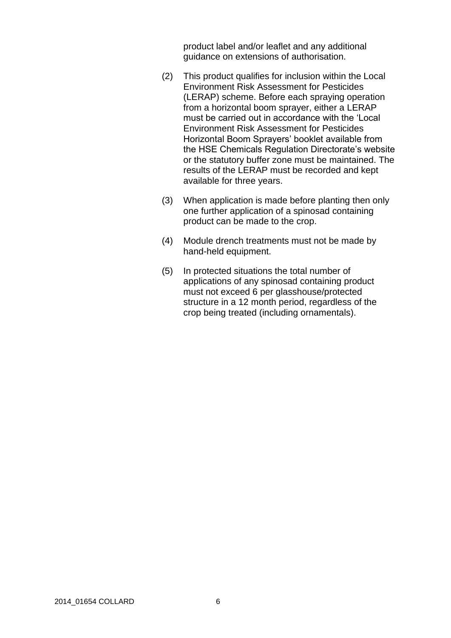product label and/or leaflet and any additional guidance on extensions of authorisation.

- (2) This product qualifies for inclusion within the Local Environment Risk Assessment for Pesticides (LERAP) scheme. Before each spraying operation from a horizontal boom sprayer, either a LERAP must be carried out in accordance with the 'Local Environment Risk Assessment for Pesticides Horizontal Boom Sprayers' booklet available from the HSE Chemicals Regulation Directorate's website or the statutory buffer zone must be maintained. The results of the LERAP must be recorded and kept available for three years.
- (3) When application is made before planting then only one further application of a spinosad containing product can be made to the crop.
- (4) Module drench treatments must not be made by hand-held equipment.
- (5) In protected situations the total number of applications of any spinosad containing product must not exceed 6 per glasshouse/protected structure in a 12 month period, regardless of the crop being treated (including ornamentals).